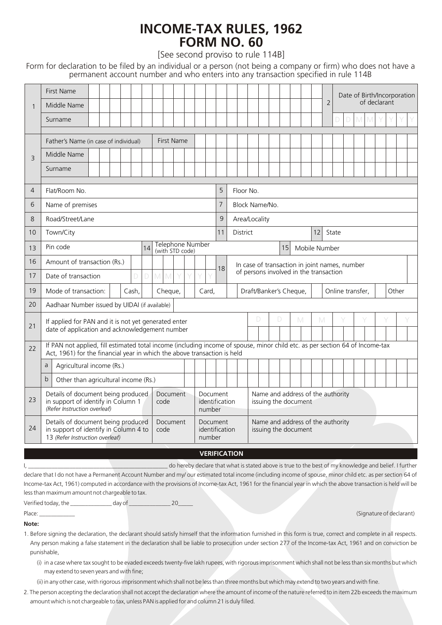## **FORM NO. 60 INCOME-TAX RULES, 1962**

[See second proviso to rule 114B]

Form for declaration to be filed by an individual or a person (not being a company or firm) who does not have a permanent account number and who enters into any transaction specified in rule 114B

| $\mathbf{1}$   | <b>First Name</b><br>Middle Name                                                                                                                                                                          |                  |                                      |    |                                                           |                                                           |   |  |   |              | $\overline{2}$ | Date of Birth/Incorporation<br>of declarant |  |  |  |  |  |  |  |
|----------------|-----------------------------------------------------------------------------------------------------------------------------------------------------------------------------------------------------------|------------------|--------------------------------------|----|-----------------------------------------------------------|-----------------------------------------------------------|---|--|---|--------------|----------------|---------------------------------------------|--|--|--|--|--|--|--|
|                | Surname                                                                                                                                                                                                   |                  |                                      |    |                                                           |                                                           |   |  |   |              |                |                                             |  |  |  |  |  |  |  |
|                | Father's Name (in case of individual)                                                                                                                                                                     |                  |                                      |    |                                                           |                                                           |   |  |   |              |                |                                             |  |  |  |  |  |  |  |
| 3              | Middle Name                                                                                                                                                                                               |                  |                                      |    |                                                           |                                                           |   |  |   |              |                |                                             |  |  |  |  |  |  |  |
|                | Surname                                                                                                                                                                                                   |                  |                                      |    |                                                           |                                                           |   |  |   |              |                |                                             |  |  |  |  |  |  |  |
| $\overline{4}$ | Flat/Room No.                                                                                                                                                                                             |                  |                                      |    |                                                           | Floor No.                                                 |   |  |   |              |                |                                             |  |  |  |  |  |  |  |
| 6              | Name of premises                                                                                                                                                                                          |                  |                                      |    |                                                           | Block Name/No.                                            |   |  |   |              |                |                                             |  |  |  |  |  |  |  |
| 8              | Road/Street/Lane                                                                                                                                                                                          |                  |                                      |    |                                                           | Area/Locality                                             |   |  |   |              |                |                                             |  |  |  |  |  |  |  |
| 10             | Town/City                                                                                                                                                                                                 |                  |                                      |    |                                                           | 12<br>State<br><b>District</b>                            |   |  |   |              |                |                                             |  |  |  |  |  |  |  |
| 13             | <b>Telephone Number</b><br>Pin code<br>14<br>(with STD code)                                                                                                                                              |                  |                                      |    |                                                           | 15<br>Mobile Number                                       |   |  |   |              |                |                                             |  |  |  |  |  |  |  |
| 16             | Amount of transaction (Rs.)                                                                                                                                                                               |                  |                                      | 18 | In case of transaction in joint names, number             |                                                           |   |  |   |              |                |                                             |  |  |  |  |  |  |  |
| 17             | $\mathsf D$<br>D<br>Date of transaction                                                                                                                                                                   | Y<br>M M<br>Y    | Y<br>Y                               |    | of persons involved in the transaction                    |                                                           |   |  |   |              |                |                                             |  |  |  |  |  |  |  |
| 19             | Mode of transaction:<br>Cash.                                                                                                                                                                             | Cheque,          | Card.                                |    | Draft/Banker's Cheque,<br>Online transfer,                |                                                           |   |  |   |              | Other          |                                             |  |  |  |  |  |  |  |
| 20             | Aadhaar Number issued by UIDAI (if available)                                                                                                                                                             |                  |                                      |    |                                                           |                                                           |   |  |   |              |                |                                             |  |  |  |  |  |  |  |
| 21             | If applied for PAN and it is not yet generated enter                                                                                                                                                      |                  |                                      |    |                                                           | D                                                         | D |  | M | $\mathbb{M}$ |                |                                             |  |  |  |  |  |  |  |
|                | date of application and acknowledgement number                                                                                                                                                            |                  |                                      |    |                                                           |                                                           |   |  |   |              |                |                                             |  |  |  |  |  |  |  |
| 22             | If PAN not applied, fill estimated total income (including income of spouse, minor child etc. as per section 64 of Income-tax<br>Act, 1961) for the financial year in which the above transaction is held |                  |                                      |    |                                                           |                                                           |   |  |   |              |                |                                             |  |  |  |  |  |  |  |
|                | Agricultural income (Rs.)<br>a                                                                                                                                                                            |                  |                                      |    |                                                           |                                                           |   |  |   |              |                |                                             |  |  |  |  |  |  |  |
|                | $\mathsf b$<br>Other than agricultural income (Rs.)                                                                                                                                                       |                  |                                      |    |                                                           |                                                           |   |  |   |              |                |                                             |  |  |  |  |  |  |  |
| 23             | Details of document being produced<br>in support of identify in Column 1<br>(Refer Instruction overleaf)                                                                                                  | Document<br>code | Document<br>identification<br>number |    | Name and address of the authority<br>issuing the document |                                                           |   |  |   |              |                |                                             |  |  |  |  |  |  |  |
| 24             | Details of document being produced<br>Document<br>Document<br>in support of identify in Column 4 to<br>identification<br>code<br>13 (Refer Instruction overleaf)<br>number                                |                  |                                      |    |                                                           | Name and address of the authority<br>issuing the document |   |  |   |              |                |                                             |  |  |  |  |  |  |  |
|                |                                                                                                                                                                                                           |                  | <b>VERIFICATION</b>                  |    |                                                           |                                                           |   |  |   |              |                |                                             |  |  |  |  |  |  |  |

I, \_\_\_\_\_\_\_\_\_\_\_\_\_\_\_\_\_\_\_\_\_\_\_\_\_\_\_\_\_\_\_\_\_\_\_\_\_\_\_\_\_\_\_\_\_\_\_ do hereby declare that what is stated above is true to the best of my knowledge and belief. I further declare that I do not have a Permanent Account Number and my/ our estimated total income (including income of spouse, minor child etc. as per section 64 of Income-tax Act, 1961) computed in accordance with the provisions of Income-tax Act, 1961 for the financial year in which the above transaction is held will be less than maximum amount not chargeable to tax.

Verified today, the \_\_\_\_\_\_\_\_\_\_\_\_\_\_ day of \_\_\_\_\_\_\_\_\_\_\_\_\_\_ 20\_\_\_\_\_

Place: Signature of declarant) and the contract of the contract of the contract of the contract of declarant)

## **Note:**

1. Before signing the declaration, the declarant should satisfy himself that the information furnished in this form is true, correct and complete in all respects. Any person making a false statement in the declaration shall be liable to prosecution under section 277 of the Income-tax Act, 1961 and on conviction be punishable,

(i) in a case where tax sought to be evaded exceeds twenty-five lakh rupees, with rigorous imprisonment which shall not be less than six months but which may extend to seven years and with fine;

(ii) in any other case, with rigorous imprisonment which shall not be less than three months but which may extend to two years and with fine.

2. The person accepting the declaration shall not accept the declaration where the amount of income of the nature referred to in item 22b exceeds the maximum amount which is not chargeable to tax, unless PAN is applied for and column 21 is duly filled.